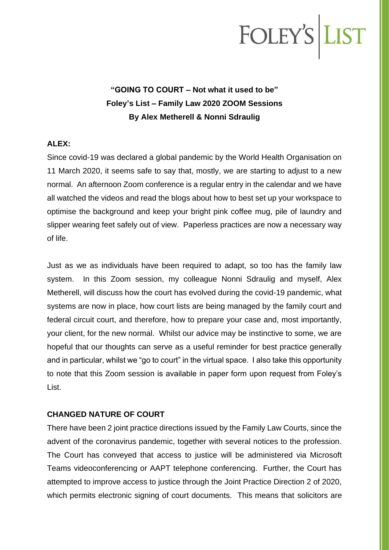# FOLEY'S LIST

### **"GOING TO COURT – Not what it used to be" Foley's List – Family Law 2020 ZOOM Sessions By Alex Metherell & Nonni Sdraulig**

#### **ALEX:**

Since covid-19 was declared a global pandemic by the World Health Organisation on 11 March 2020, it seems safe to say that, mostly, we are starting to adjust to a new normal. An afternoon Zoom conference is a regular entry in the calendar and we have all watched the videos and read the blogs about how to best set up your workspace to optimise the background and keep your bright pink coffee mug, pile of laundry and slipper wearing feet safely out of view. Paperless practices are now a necessary way of life.

Just as we as individuals have been required to adapt, so too has the family law system. In this Zoom session, my colleague Nonni Sdraulig and myself, Alex Metherell, will discuss how the court has evolved during the covid-19 pandemic, what systems are now in place, how court lists are being managed by the family court and federal circuit court, and therefore, how to prepare your case and, most importantly, your client, for the new normal. Whilst our advice may be instinctive to some, we are hopeful that our thoughts can serve as a useful reminder for best practice generally and in particular, whilst we "go to court" in the virtual space. I also take this opportunity to note that this Zoom session is available in paper form upon request from Foley's List.

#### **CHANGED NATURE OF COURT**

There have been 2 joint practice directions issued by the Family Law Courts, since the advent of the coronavirus pandemic, together with several notices to the profession. The Court has conveyed that access to justice will be administered via Microsoft Teams videoconferencing or AAPT telephone conferencing. Further, the Court has attempted to improve access to justice through the Joint Practice Direction 2 of 2020, which permits electronic signing of court documents. This means that solicitors are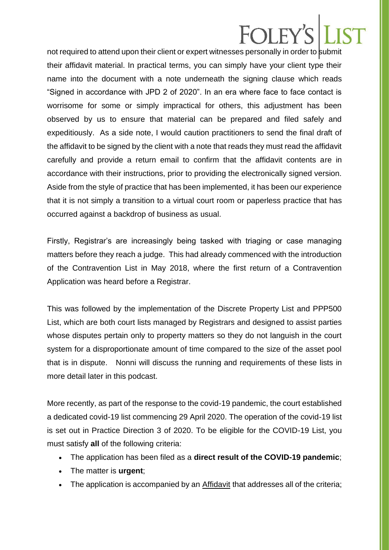### **FOLEY**

not required to attend upon their client or expert witnesses personally in order to submit their affidavit material. In practical terms, you can simply have your client type their name into the document with a note underneath the signing clause which reads "Signed in accordance with JPD 2 of 2020". In an era where face to face contact is worrisome for some or simply impractical for others, this adjustment has been observed by us to ensure that material can be prepared and filed safely and expeditiously. As a side note, I would caution practitioners to send the final draft of the affidavit to be signed by the client with a note that reads they must read the affidavit carefully and provide a return email to confirm that the affidavit contents are in accordance with their instructions, prior to providing the electronically signed version. Aside from the style of practice that has been implemented, it has been our experience that it is not simply a transition to a virtual court room or paperless practice that has occurred against a backdrop of business as usual.

Firstly, Registrar's are increasingly being tasked with triaging or case managing matters before they reach a judge. This had already commenced with the introduction of the Contravention List in May 2018, where the first return of a Contravention Application was heard before a Registrar.

This was followed by the implementation of the Discrete Property List and PPP500 List, which are both court lists managed by Registrars and designed to assist parties whose disputes pertain only to property matters so they do not languish in the court system for a disproportionate amount of time compared to the size of the asset pool that is in dispute. Nonni will discuss the running and requirements of these lists in more detail later in this podcast.

More recently, as part of the response to the covid-19 pandemic, the court established a dedicated covid-19 list commencing 29 April 2020. The operation of the covid-19 list is set out in Practice Direction 3 of 2020. To be eligible for the COVID-19 List, you must satisfy **all** of the following criteria:

- The application has been filed as a **direct result of the COVID-19 pandemic**;
- The matter is **urgent**;
- The application is accompanied by an **[Affidavit](http://www.federalcircuitcourt.gov.au/wps/wcm/connect/fccweb/about/covid/covid-list/fcc-affidavit-covid)** that addresses all of the criteria;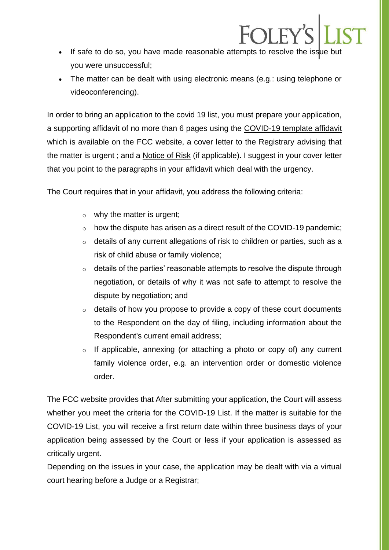• If safe to do so, you have made reasonable attempts to resolve the issue but you were unsuccessful;

FOLEY'S

• The matter can be dealt with using electronic means (e.g.: using telephone or videoconferencing).

In order to bring an application to the covid 19 list, you must prepare your application, a supporting affidavit of no more than 6 pages using the [COVID-19 template affidavit](http://www.federalcircuitcourt.gov.au/wps/wcm/connect/fccweb/about/covid/covid-list/fcc-affidavit-covid) which is available on the FCC website, a cover letter to the Registrary advising that the matter is urgent ; and a [Notice of Risk](http://www.federalcircuitcourt.gov.au/wps/wcm/connect/fccweb/forms-and-fees/court-forms/form-topics/Family+Law/notice-risk) (if applicable). I suggest in your cover letter that you point to the paragraphs in your affidavit which deal with the urgency.

The Court requires that in your affidavit, you address the following criteria:

- $\circ$  why the matter is urgent;
- o how the dispute has arisen as a direct result of the COVID-19 pandemic;
- o details of any current allegations of risk to children or parties, such as a risk of child abuse or family violence;
- $\circ$  details of the parties' reasonable attempts to resolve the dispute through negotiation, or details of why it was not safe to attempt to resolve the dispute by negotiation; and
- $\circ$  details of how you propose to provide a copy of these court documents to the Respondent on the day of filing, including information about the Respondent's current email address;
- o If applicable, annexing (or attaching a photo or copy of) any current family violence order, e.g. an intervention order or domestic violence order.

The FCC website provides that After submitting your application, the Court will assess whether you meet the criteria for the COVID-19 List. If the matter is suitable for the COVID-19 List, you will receive a first return date within three business days of your application being assessed by the Court or less if your application is assessed as critically urgent.

Depending on the issues in your case, the application may be dealt with via a virtual court hearing before a Judge or a Registrar;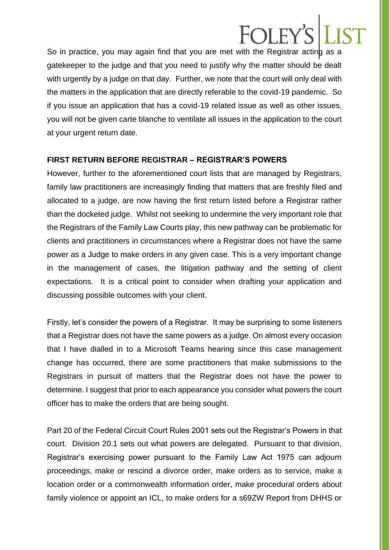### EOI EV

So in practice, you may again find that you are met with the Registrar acting as a gatekeeper to the judge and that you need to justify why the matter should be dealt with urgently by a judge on that day. Further, we note that the court will only deal with the matters in the application that are directly referable to the covid-19 pandemic. So if you issue an application that has a covid-19 related issue as well as other issues, you will not be given carte blanche to ventilate all issues in the application to the court at your urgent return date.

#### **FIRST RETURN BEFORE REGISTRAR – REGISTRAR'S POWERS**

However, further to the aforementioned court lists that are managed by Registrars, family law practitioners are increasingly finding that matters that are freshly filed and allocated to a judge, are now having the first return listed before a Registrar rather than the docketed judge. Whilst not seeking to undermine the very important role that the Registrars of the Family Law Courts play, this new pathway can be problematic for clients and practitioners in circumstances where a Registrar does not have the same power as a Judge to make orders in any given case. This is a very important change in the management of cases, the litigation pathway and the setting of client expectations. It is a critical point to consider when drafting your application and discussing possible outcomes with your client.

Firstly, let's consider the powers of a Registrar. It may be surprising to some listeners that a Registrar does not have the same powers as a judge. On almost every occasion that I have dialled in to a Microsoft Teams hearing since this case management change has occurred, there are some practitioners that make submissions to the Registrars in pursuit of matters that the Registrar does not have the power to determine. I suggest that prior to each appearance you consider what powers the court officer has to make the orders that are being sought.

Part 20 of the Federal Circuit Court Rules 2001 sets out the Registrar's Powers in that court. Division 20.1 sets out what powers are delegated. Pursuant to that division, Registrar's exercising power pursuant to the Family Law Act 1975 can adjourn proceedings, make or rescind a divorce order, make orders as to service, make a location order or a commonwealth information order, make procedural orders about family violence or appoint an ICL, to make orders for a s69ZW Report from DHHS or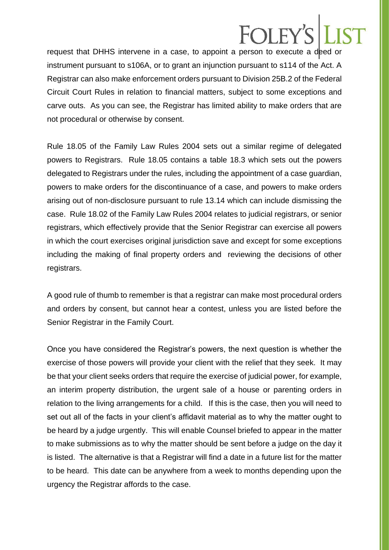### **OLEY**

request that DHHS intervene in a case, to appoint a person to execute a deed or instrument pursuant to s106A, or to grant an injunction pursuant to s114 of the Act. A Registrar can also make enforcement orders pursuant to Division 25B.2 of the Federal Circuit Court Rules in relation to financial matters, subject to some exceptions and carve outs. As you can see, the Registrar has limited ability to make orders that are not procedural or otherwise by consent.

Rule 18.05 of the Family Law Rules 2004 sets out a similar regime of delegated powers to Registrars. Rule 18.05 contains a table 18.3 which sets out the powers delegated to Registrars under the rules, including the appointment of a case guardian, powers to make orders for the discontinuance of a case, and powers to make orders arising out of non-disclosure pursuant to rule 13.14 which can include dismissing the case. Rule 18.02 of the Family Law Rules 2004 relates to judicial registrars, or senior registrars, which effectively provide that the Senior Registrar can exercise all powers in which the court exercises original jurisdiction save and except for some exceptions including the making of final property orders and reviewing the decisions of other registrars.

A good rule of thumb to remember is that a registrar can make most procedural orders and orders by consent, but cannot hear a contest, unless you are listed before the Senior Registrar in the Family Court.

Once you have considered the Registrar's powers, the next question is whether the exercise of those powers will provide your client with the relief that they seek. It may be that your client seeks orders that require the exercise of judicial power, for example, an interim property distribution, the urgent sale of a house or parenting orders in relation to the living arrangements for a child. If this is the case, then you will need to set out all of the facts in your client's affidavit material as to why the matter ought to be heard by a judge urgently. This will enable Counsel briefed to appear in the matter to make submissions as to why the matter should be sent before a judge on the day it is listed. The alternative is that a Registrar will find a date in a future list for the matter to be heard. This date can be anywhere from a week to months depending upon the urgency the Registrar affords to the case.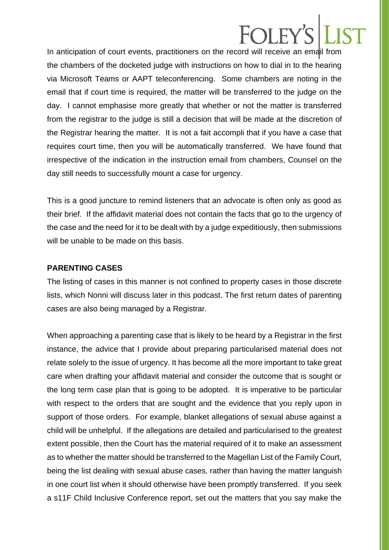### FOI FY'S

In anticipation of court events, practitioners on the record will receive an email from the chambers of the docketed judge with instructions on how to dial in to the hearing via Microsoft Teams or AAPT teleconferencing. Some chambers are noting in the email that if court time is required, the matter will be transferred to the judge on the day. I cannot emphasise more greatly that whether or not the matter is transferred from the registrar to the judge is still a decision that will be made at the discretion of the Registrar hearing the matter. It is not a fait accompli that if you have a case that requires court time, then you will be automatically transferred. We have found that irrespective of the indication in the instruction email from chambers, Counsel on the day still needs to successfully mount a case for urgency.

This is a good juncture to remind listeners that an advocate is often only as good as their brief. If the affidavit material does not contain the facts that go to the urgency of the case and the need for it to be dealt with by a judge expeditiously, then submissions will be unable to be made on this basis.

#### **PARENTING CASES**

The listing of cases in this manner is not confined to property cases in those discrete lists, which Nonni will discuss later in this podcast. The first return dates of parenting cases are also being managed by a Registrar.

When approaching a parenting case that is likely to be heard by a Registrar in the first instance, the advice that I provide about preparing particularised material does not relate solely to the issue of urgency. It has become all the more important to take great care when drafting your affidavit material and consider the outcome that is sought or the long term case plan that is going to be adopted. It is imperative to be particular with respect to the orders that are sought and the evidence that you reply upon in support of those orders. For example, blanket allegations of sexual abuse against a child will be unhelpful. If the allegations are detailed and particularised to the greatest extent possible, then the Court has the material required of it to make an assessment as to whether the matter should be transferred to the Magellan List of the Family Court, being the list dealing with sexual abuse cases, rather than having the matter languish in one court list when it should otherwise have been promptly transferred. If you seek a s11F Child Inclusive Conference report, set out the matters that you say make the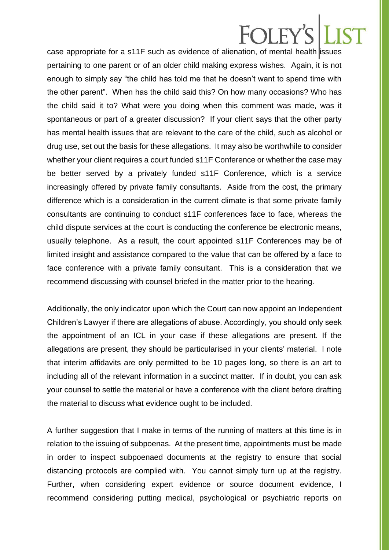### FOI FY'S

case appropriate for a s11F such as evidence of alienation, of mental health issues pertaining to one parent or of an older child making express wishes. Again, it is not enough to simply say "the child has told me that he doesn't want to spend time with the other parent". When has the child said this? On how many occasions? Who has the child said it to? What were you doing when this comment was made, was it spontaneous or part of a greater discussion? If your client says that the other party has mental health issues that are relevant to the care of the child, such as alcohol or drug use, set out the basis for these allegations. It may also be worthwhile to consider whether your client requires a court funded s11F Conference or whether the case may be better served by a privately funded s11F Conference, which is a service increasingly offered by private family consultants. Aside from the cost, the primary difference which is a consideration in the current climate is that some private family consultants are continuing to conduct s11F conferences face to face, whereas the child dispute services at the court is conducting the conference be electronic means, usually telephone. As a result, the court appointed s11F Conferences may be of limited insight and assistance compared to the value that can be offered by a face to face conference with a private family consultant. This is a consideration that we recommend discussing with counsel briefed in the matter prior to the hearing.

Additionally, the only indicator upon which the Court can now appoint an Independent Children's Lawyer if there are allegations of abuse. Accordingly, you should only seek the appointment of an ICL in your case if these allegations are present. If the allegations are present, they should be particularised in your clients' material. I note that interim affidavits are only permitted to be 10 pages long, so there is an art to including all of the relevant information in a succinct matter. If in doubt, you can ask your counsel to settle the material or have a conference with the client before drafting the material to discuss what evidence ought to be included.

A further suggestion that I make in terms of the running of matters at this time is in relation to the issuing of subpoenas. At the present time, appointments must be made in order to inspect subpoenaed documents at the registry to ensure that social distancing protocols are complied with. You cannot simply turn up at the registry. Further, when considering expert evidence or source document evidence, I recommend considering putting medical, psychological or psychiatric reports on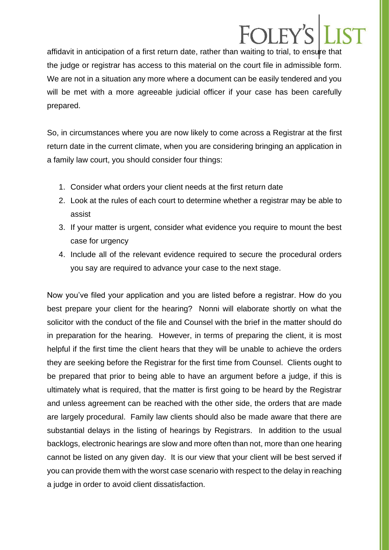### EOI EV

affidavit in anticipation of a first return date, rather than waiting to trial, to ensure that the judge or registrar has access to this material on the court file in admissible form. We are not in a situation any more where a document can be easily tendered and you will be met with a more agreeable judicial officer if your case has been carefully prepared.

So, in circumstances where you are now likely to come across a Registrar at the first return date in the current climate, when you are considering bringing an application in a family law court, you should consider four things:

- 1. Consider what orders your client needs at the first return date
- 2. Look at the rules of each court to determine whether a registrar may be able to assist
- 3. If your matter is urgent, consider what evidence you require to mount the best case for urgency
- 4. Include all of the relevant evidence required to secure the procedural orders you say are required to advance your case to the next stage.

Now you've filed your application and you are listed before a registrar. How do you best prepare your client for the hearing? Nonni will elaborate shortly on what the solicitor with the conduct of the file and Counsel with the brief in the matter should do in preparation for the hearing. However, in terms of preparing the client, it is most helpful if the first time the client hears that they will be unable to achieve the orders they are seeking before the Registrar for the first time from Counsel. Clients ought to be prepared that prior to being able to have an argument before a judge, if this is ultimately what is required, that the matter is first going to be heard by the Registrar and unless agreement can be reached with the other side, the orders that are made are largely procedural. Family law clients should also be made aware that there are substantial delays in the listing of hearings by Registrars. In addition to the usual backlogs, electronic hearings are slow and more often than not, more than one hearing cannot be listed on any given day. It is our view that your client will be best served if you can provide them with the worst case scenario with respect to the delay in reaching a judge in order to avoid client dissatisfaction.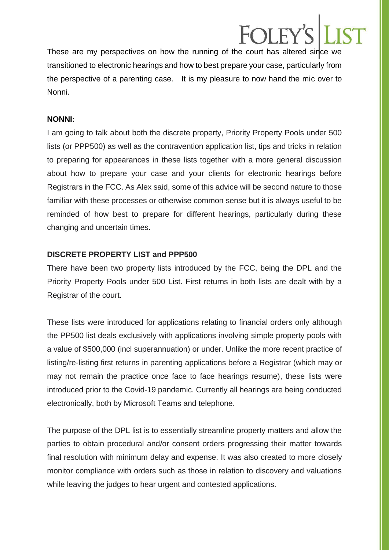## **COLEV**

These are my perspectives on how the running of the court has altered since we transitioned to electronic hearings and how to best prepare your case, particularly from the perspective of a parenting case. It is my pleasure to now hand the mic over to Nonni.

#### **NONNI:**

I am going to talk about both the discrete property, Priority Property Pools under 500 lists (or PPP500) as well as the contravention application list, tips and tricks in relation to preparing for appearances in these lists together with a more general discussion about how to prepare your case and your clients for electronic hearings before Registrars in the FCC. As Alex said, some of this advice will be second nature to those familiar with these processes or otherwise common sense but it is always useful to be reminded of how best to prepare for different hearings, particularly during these changing and uncertain times.

#### **DISCRETE PROPERTY LIST and PPP500**

There have been two property lists introduced by the FCC, being the DPL and the Priority Property Pools under 500 List. First returns in both lists are dealt with by a Registrar of the court.

These lists were introduced for applications relating to financial orders only although the PP500 list deals exclusively with applications involving simple property pools with a value of \$500,000 (incl superannuation) or under. Unlike the more recent practice of listing/re-listing first returns in parenting applications before a Registrar (which may or may not remain the practice once face to face hearings resume), these lists were introduced prior to the Covid-19 pandemic. Currently all hearings are being conducted electronically, both by Microsoft Teams and telephone.

The purpose of the DPL list is to essentially streamline property matters and allow the parties to obtain procedural and/or consent orders progressing their matter towards final resolution with minimum delay and expense. It was also created to more closely monitor compliance with orders such as those in relation to discovery and valuations while leaving the judges to hear urgent and contested applications.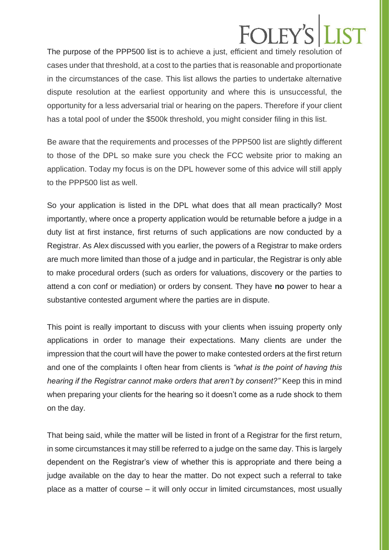### FOLEY

The purpose of the PPP500 list is to achieve a just, efficient and timely resolution of cases under that threshold, at a cost to the parties that is reasonable and proportionate in the circumstances of the case. This list allows the parties to undertake alternative dispute resolution at the earliest opportunity and where this is unsuccessful, the opportunity for a less adversarial trial or hearing on the papers. Therefore if your client has a total pool of under the \$500k threshold, you might consider filing in this list.

Be aware that the requirements and processes of the PPP500 list are slightly different to those of the DPL so make sure you check the FCC website prior to making an application. Today my focus is on the DPL however some of this advice will still apply to the PPP500 list as well.

So your application is listed in the DPL what does that all mean practically? Most importantly, where once a property application would be returnable before a judge in a duty list at first instance, first returns of such applications are now conducted by a Registrar. As Alex discussed with you earlier, the powers of a Registrar to make orders are much more limited than those of a judge and in particular, the Registrar is only able to make procedural orders (such as orders for valuations, discovery or the parties to attend a con conf or mediation) or orders by consent. They have **no** power to hear a substantive contested argument where the parties are in dispute.

This point is really important to discuss with your clients when issuing property only applications in order to manage their expectations. Many clients are under the impression that the court will have the power to make contested orders at the first return and one of the complaints I often hear from clients is *"what is the point of having this hearing if the Registrar cannot make orders that aren't by consent?"* Keep this in mind when preparing your clients for the hearing so it doesn't come as a rude shock to them on the day.

That being said, while the matter will be listed in front of a Registrar for the first return, in some circumstances it may still be referred to a judge on the same day. This is largely dependent on the Registrar's view of whether this is appropriate and there being a judge available on the day to hear the matter. Do not expect such a referral to take place as a matter of course – it will only occur in limited circumstances, most usually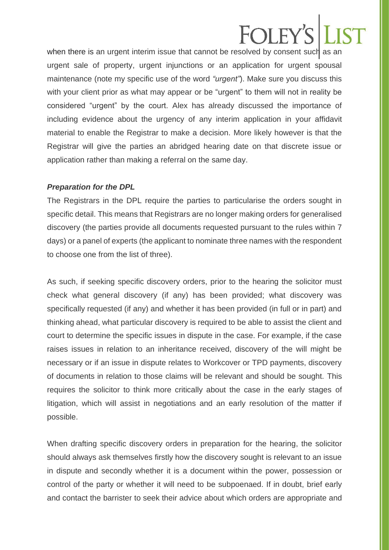### **FOI EV**

when there is an urgent interim issue that cannot be resolved by consent such as an urgent sale of property, urgent injunctions or an application for urgent spousal maintenance (note my specific use of the word *"urgent"*). Make sure you discuss this with your client prior as what may appear or be "urgent" to them will not in reality be considered "urgent" by the court. Alex has already discussed the importance of including evidence about the urgency of any interim application in your affidavit material to enable the Registrar to make a decision. More likely however is that the Registrar will give the parties an abridged hearing date on that discrete issue or application rather than making a referral on the same day.

#### *Preparation for the DPL*

The Registrars in the DPL require the parties to particularise the orders sought in specific detail. This means that Registrars are no longer making orders for generalised discovery (the parties provide all documents requested pursuant to the rules within 7 days) or a panel of experts (the applicant to nominate three names with the respondent to choose one from the list of three).

As such, if seeking specific discovery orders, prior to the hearing the solicitor must check what general discovery (if any) has been provided; what discovery was specifically requested (if any) and whether it has been provided (in full or in part) and thinking ahead, what particular discovery is required to be able to assist the client and court to determine the specific issues in dispute in the case. For example, if the case raises issues in relation to an inheritance received, discovery of the will might be necessary or if an issue in dispute relates to Workcover or TPD payments, discovery of documents in relation to those claims will be relevant and should be sought. This requires the solicitor to think more critically about the case in the early stages of litigation, which will assist in negotiations and an early resolution of the matter if possible.

When drafting specific discovery orders in preparation for the hearing, the solicitor should always ask themselves firstly how the discovery sought is relevant to an issue in dispute and secondly whether it is a document within the power, possession or control of the party or whether it will need to be subpoenaed. If in doubt, brief early and contact the barrister to seek their advice about which orders are appropriate and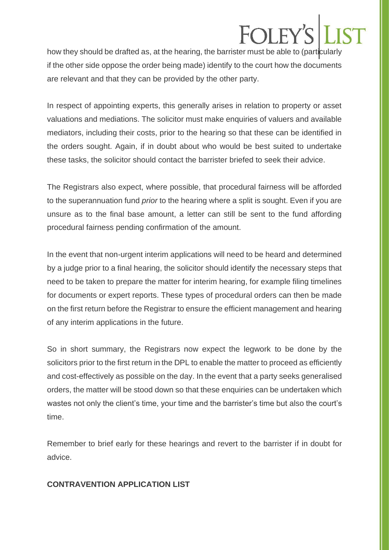# **FOI EY**

how they should be drafted as, at the hearing, the barrister must be able to (particularly if the other side oppose the order being made) identify to the court how the documents are relevant and that they can be provided by the other party.

In respect of appointing experts, this generally arises in relation to property or asset valuations and mediations. The solicitor must make enquiries of valuers and available mediators, including their costs, prior to the hearing so that these can be identified in the orders sought. Again, if in doubt about who would be best suited to undertake these tasks, the solicitor should contact the barrister briefed to seek their advice.

The Registrars also expect, where possible, that procedural fairness will be afforded to the superannuation fund *prior* to the hearing where a split is sought. Even if you are unsure as to the final base amount, a letter can still be sent to the fund affording procedural fairness pending confirmation of the amount.

In the event that non-urgent interim applications will need to be heard and determined by a judge prior to a final hearing, the solicitor should identify the necessary steps that need to be taken to prepare the matter for interim hearing, for example filing timelines for documents or expert reports. These types of procedural orders can then be made on the first return before the Registrar to ensure the efficient management and hearing of any interim applications in the future.

So in short summary, the Registrars now expect the legwork to be done by the solicitors prior to the first return in the DPL to enable the matter to proceed as efficiently and cost-effectively as possible on the day. In the event that a party seeks generalised orders, the matter will be stood down so that these enquiries can be undertaken which wastes not only the client's time, your time and the barrister's time but also the court's time.

Remember to brief early for these hearings and revert to the barrister if in doubt for advice.

#### **CONTRAVENTION APPLICATION LIST**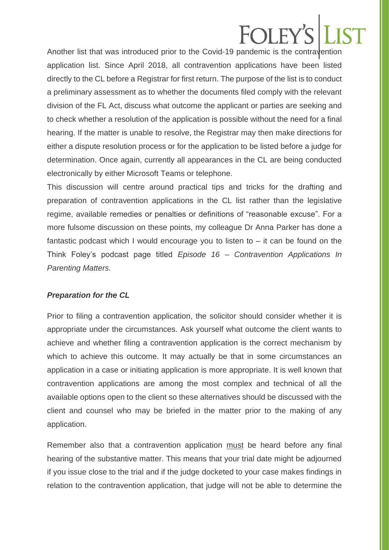### $F$ oi ev

Another list that was introduced prior to the Covid-19 pandemic is the contravention application list. Since April 2018, all contravention applications have been listed directly to the CL before a Registrar for first return. The purpose of the list is to conduct a preliminary assessment as to whether the documents filed comply with the relevant division of the FL Act, discuss what outcome the applicant or parties are seeking and to check whether a resolution of the application is possible without the need for a final hearing. If the matter is unable to resolve, the Registrar may then make directions for either a dispute resolution process or for the application to be listed before a judge for determination. Once again, currently all appearances in the CL are being conducted electronically by either Microsoft Teams or telephone.

This discussion will centre around practical tips and tricks for the drafting and preparation of contravention applications in the CL list rather than the legislative regime, available remedies or penalties or definitions of "reasonable excuse". For a more fulsome discussion on these points, my colleague Dr Anna Parker has done a fantastic podcast which I would encourage you to listen to – it can be found on the Think Foley's podcast page titled *Episode 16 – Contravention Applications In Parenting Matters.*

#### *Preparation for the CL*

Prior to filing a contravention application, the solicitor should consider whether it is appropriate under the circumstances. Ask yourself what outcome the client wants to achieve and whether filing a contravention application is the correct mechanism by which to achieve this outcome. It may actually be that in some circumstances an application in a case or initiating application is more appropriate. It is well known that contravention applications are among the most complex and technical of all the available options open to the client so these alternatives should be discussed with the client and counsel who may be briefed in the matter prior to the making of any application.

Remember also that a contravention application must be heard before any final hearing of the substantive matter. This means that your trial date might be adjourned if you issue close to the trial and if the judge docketed to your case makes findings in relation to the contravention application, that judge will not be able to determine the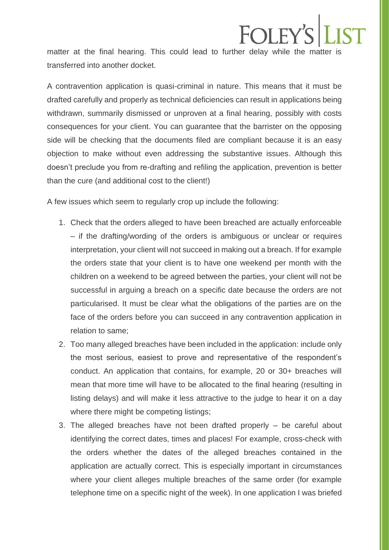matter at the final hearing. This could lead to further delay while the matter is transferred into another docket.

**FOLEY'S LIST** 

A contravention application is quasi-criminal in nature. This means that it must be drafted carefully and properly as technical deficiencies can result in applications being withdrawn, summarily dismissed or unproven at a final hearing, possibly with costs consequences for your client. You can guarantee that the barrister on the opposing side will be checking that the documents filed are compliant because it is an easy objection to make without even addressing the substantive issues. Although this doesn't preclude you from re-drafting and refiling the application, prevention is better than the cure (and additional cost to the client!)

A few issues which seem to regularly crop up include the following:

- 1. Check that the orders alleged to have been breached are actually enforceable – if the drafting/wording of the orders is ambiguous or unclear or requires interpretation, your client will not succeed in making out a breach. If for example the orders state that your client is to have one weekend per month with the children on a weekend to be agreed between the parties, your client will not be successful in arguing a breach on a specific date because the orders are not particularised. It must be clear what the obligations of the parties are on the face of the orders before you can succeed in any contravention application in relation to same;
- 2. Too many alleged breaches have been included in the application: include only the most serious, easiest to prove and representative of the respondent's conduct. An application that contains, for example, 20 or 30+ breaches will mean that more time will have to be allocated to the final hearing (resulting in listing delays) and will make it less attractive to the judge to hear it on a day where there might be competing listings;
- 3. The alleged breaches have not been drafted properly be careful about identifying the correct dates, times and places! For example, cross-check with the orders whether the dates of the alleged breaches contained in the application are actually correct. This is especially important in circumstances where your client alleges multiple breaches of the same order (for example telephone time on a specific night of the week). In one application I was briefed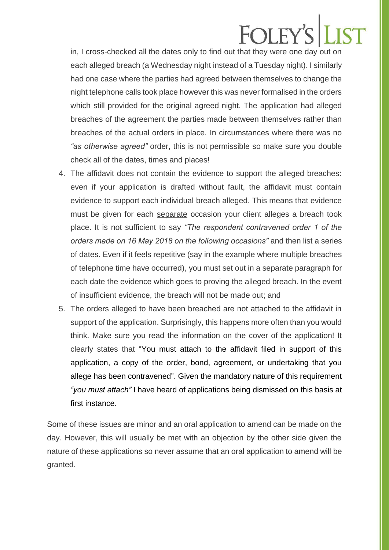## FOLEY'S LIST

in, I cross-checked all the dates only to find out that they were one day out on each alleged breach (a Wednesday night instead of a Tuesday night). I similarly had one case where the parties had agreed between themselves to change the night telephone calls took place however this was never formalised in the orders which still provided for the original agreed night. The application had alleged breaches of the agreement the parties made between themselves rather than breaches of the actual orders in place. In circumstances where there was no *"as otherwise agreed"* order, this is not permissible so make sure you double check all of the dates, times and places!

- 4. The affidavit does not contain the evidence to support the alleged breaches: even if your application is drafted without fault, the affidavit must contain evidence to support each individual breach alleged. This means that evidence must be given for each separate occasion your client alleges a breach took place. It is not sufficient to say *"The respondent contravened order 1 of the orders made on 16 May 2018 on the following occasions"* and then list a series of dates. Even if it feels repetitive (say in the example where multiple breaches of telephone time have occurred), you must set out in a separate paragraph for each date the evidence which goes to proving the alleged breach. In the event of insufficient evidence, the breach will not be made out; and
- 5. The orders alleged to have been breached are not attached to the affidavit in support of the application. Surprisingly, this happens more often than you would think. Make sure you read the information on the cover of the application! It clearly states that "You must attach to the affidavit filed in support of this application, a copy of the order, bond, agreement, or undertaking that you allege has been contravened". Given the mandatory nature of this requirement *"you must attach"* I have heard of applications being dismissed on this basis at first instance.

Some of these issues are minor and an oral application to amend can be made on the day. However, this will usually be met with an objection by the other side given the nature of these applications so never assume that an oral application to amend will be granted.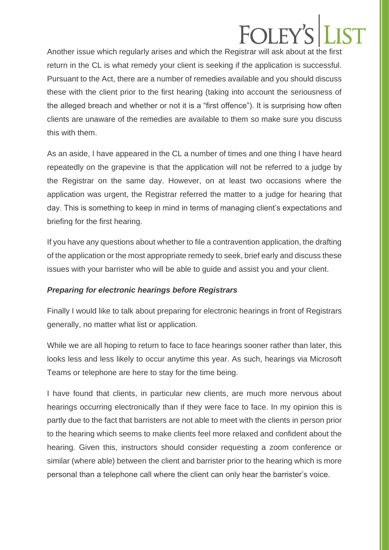## **FOLEY'S**

Another issue which regularly arises and which the Registrar will ask about at the first return in the CL is what remedy your client is seeking if the application is successful. Pursuant to the Act, there are a number of remedies available and you should discuss these with the client prior to the first hearing (taking into account the seriousness of the alleged breach and whether or not it is a "first offence"). It is surprising how often clients are unaware of the remedies are available to them so make sure you discuss this with them.

As an aside, I have appeared in the CL a number of times and one thing I have heard repeatedly on the grapevine is that the application will not be referred to a judge by the Registrar on the same day. However, on at least two occasions where the application was urgent, the Registrar referred the matter to a judge for hearing that day. This is something to keep in mind in terms of managing client's expectations and briefing for the first hearing.

If you have any questions about whether to file a contravention application, the drafting of the application or the most appropriate remedy to seek, brief early and discuss these issues with your barrister who will be able to guide and assist you and your client.

#### *Preparing for electronic hearings before Registrars*

Finally I would like to talk about preparing for electronic hearings in front of Registrars generally, no matter what list or application.

While we are all hoping to return to face to face hearings sooner rather than later, this looks less and less likely to occur anytime this year. As such, hearings via Microsoft Teams or telephone are here to stay for the time being.

I have found that clients, in particular new clients, are much more nervous about hearings occurring electronically than if they were face to face. In my opinion this is partly due to the fact that barristers are not able to meet with the clients in person prior to the hearing which seems to make clients feel more relaxed and confident about the hearing. Given this, instructors should consider requesting a zoom conference or similar (where able) between the client and barrister prior to the hearing which is more personal than a telephone call where the client can only hear the barrister's voice.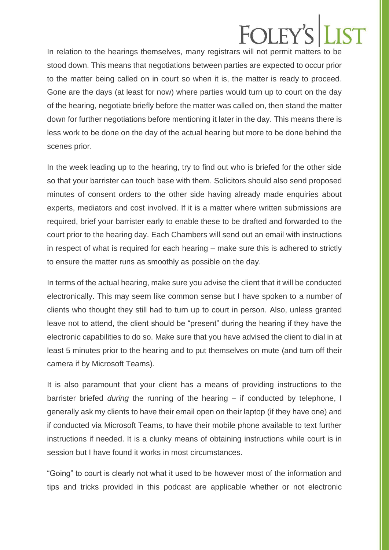### **FOLEY**

In relation to the hearings themselves, many registrars will not permit matters to be stood down. This means that negotiations between parties are expected to occur prior to the matter being called on in court so when it is, the matter is ready to proceed. Gone are the days (at least for now) where parties would turn up to court on the day of the hearing, negotiate briefly before the matter was called on, then stand the matter down for further negotiations before mentioning it later in the day. This means there is less work to be done on the day of the actual hearing but more to be done behind the scenes prior.

In the week leading up to the hearing, try to find out who is briefed for the other side so that your barrister can touch base with them. Solicitors should also send proposed minutes of consent orders to the other side having already made enquiries about experts, mediators and cost involved. If it is a matter where written submissions are required, brief your barrister early to enable these to be drafted and forwarded to the court prior to the hearing day. Each Chambers will send out an email with instructions in respect of what is required for each hearing – make sure this is adhered to strictly to ensure the matter runs as smoothly as possible on the day.

In terms of the actual hearing, make sure you advise the client that it will be conducted electronically. This may seem like common sense but I have spoken to a number of clients who thought they still had to turn up to court in person. Also, unless granted leave not to attend, the client should be "present" during the hearing if they have the electronic capabilities to do so. Make sure that you have advised the client to dial in at least 5 minutes prior to the hearing and to put themselves on mute (and turn off their camera if by Microsoft Teams).

It is also paramount that your client has a means of providing instructions to the barrister briefed *during* the running of the hearing – if conducted by telephone, I generally ask my clients to have their email open on their laptop (if they have one) and if conducted via Microsoft Teams, to have their mobile phone available to text further instructions if needed. It is a clunky means of obtaining instructions while court is in session but I have found it works in most circumstances.

"Going" to court is clearly not what it used to be however most of the information and tips and tricks provided in this podcast are applicable whether or not electronic